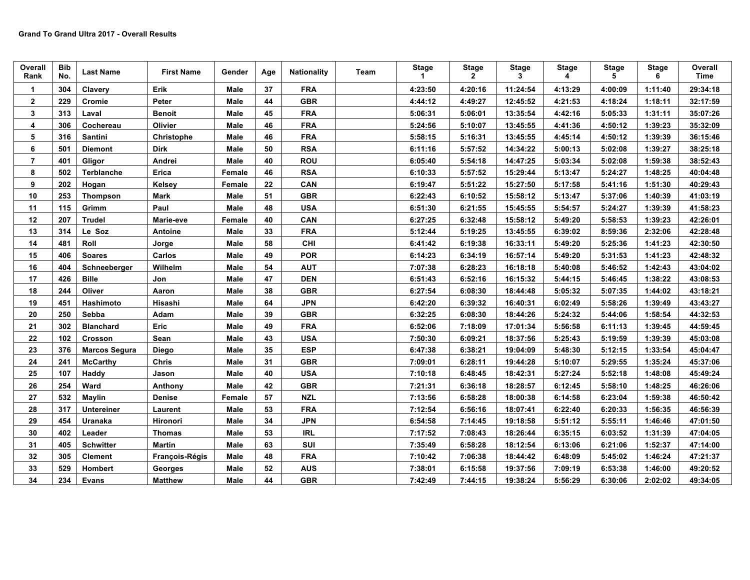| Overall<br>Rank | <b>Bib</b><br>No. | <b>Last Name</b>     | <b>First Name</b> | Gender      | Age | <b>Nationality</b> | Team | <b>Stage</b><br>1 | <b>Stage</b><br>$\overline{2}$ | <b>Stage</b><br>3 | <b>Stage</b><br>4 | <b>Stage</b><br>5 | <b>Stage</b><br>6 | Overall<br><b>Time</b> |
|-----------------|-------------------|----------------------|-------------------|-------------|-----|--------------------|------|-------------------|--------------------------------|-------------------|-------------------|-------------------|-------------------|------------------------|
|                 | 304               | Clavery              | Erik              | Male        | 37  | <b>FRA</b>         |      | 4:23:50           | 4:20:16                        | 11:24:54          | 4:13:29           | 4:00:09           | 1:11:40           | 29:34:18               |
| $\mathbf{2}$    | 229               | Cromie               | Peter             | Male        | 44  | <b>GBR</b>         |      | 4:44:12           | 4:49:27                        | 12:45:52          | 4:21:53           | 4:18:24           | 1:18:11           | 32:17:59               |
| 3               | 313               | Laval                | <b>Benoit</b>     | Male        | 45  | <b>FRA</b>         |      | 5:06:31           | 5:06:01                        | 13:35:54          | 4:42:16           | 5:05:33           | 1:31:11           | 35:07:26               |
| 4               | 306               | Cochereau            | Olivier           | <b>Male</b> | 46  | <b>FRA</b>         |      | 5:24:56           | 5:10:07                        | 13:45:55          | 4:41:36           | 4:50:12           | 1:39:23           | 35:32:09               |
| 5               | 316               | Santini              | Christophe        | <b>Male</b> | 46  | <b>FRA</b>         |      | 5:58:15           | 5:16:31                        | 13:45:55          | 4:45:14           | 4:50:12           | 1:39:39           | 36:15:46               |
| 6               | 501               | <b>Diemont</b>       | <b>Dirk</b>       | Male        | 50  | <b>RSA</b>         |      | 6:11:16           | 5:57:52                        | 14:34:22          | 5:00:13           | 5:02:08           | 1:39:27           | 38:25:18               |
| $\overline{7}$  | 401               | Gligor               | Andrei            | Male        | 40  | <b>ROU</b>         |      | 6:05:40           | 5:54:18                        | 14:47:25          | 5:03:34           | 5:02:08           | 1:59:38           | 38:52:43               |
| 8               | 502               | Terblanche           | Erica             | Female      | 46  | <b>RSA</b>         |      | 6:10:33           | 5:57:52                        | 15:29:44          | 5:13:47           | 5:24:27           | 1:48:25           | 40:04:48               |
| 9               | 202               | Hogan                | Kelsey            | Female      | 22  | CAN                |      | 6:19:47           | 5:51:22                        | 15:27:50          | 5:17:58           | 5:41:16           | 1:51:30           | 40:29:43               |
| 10              | 253               | <b>Thompson</b>      | <b>Mark</b>       | Male        | 51  | <b>GBR</b>         |      | 6:22:43           | 6:10:52                        | 15:58:12          | 5:13:47           | 5:37:06           | 1:40:39           | 41:03:19               |
| 11              | 115               | Grimm                | Paul              | <b>Male</b> | 48  | <b>USA</b>         |      | 6:51:30           | 6:21:55                        | 15:45:55          | 5:54:57           | 5:24:27           | 1:39:39           | 41:58:23               |
| 12              | 207               | <b>Trudel</b>        | Marie-eve         | Female      | 40  | CAN                |      | 6:27:25           | 6:32:48                        | 15:58:12          | 5:49:20           | 5:58:53           | 1:39:23           | 42:26:01               |
| 13              | 314               | Le Soz               | Antoine           | Male        | 33  | <b>FRA</b>         |      | 5:12:44           | 5:19:25                        | 13:45:55          | 6:39:02           | 8:59:36           | 2:32:06           | 42:28:48               |
| 14              | 481               | Roll                 | Jorge             | Male        | 58  | <b>CHI</b>         |      | 6:41:42           | 6:19:38                        | 16:33:11          | 5:49:20           | 5:25:36           | 1:41:23           | 42:30:50               |
| 15              | 406               | <b>Soares</b>        | Carlos            | Male        | 49  | <b>POR</b>         |      | 6:14:23           | 6:34:19                        | 16:57:14          | 5:49:20           | 5:31:53           | 1:41:23           | 42:48:32               |
| 16              | 404               | Schneeberger         | Wilhelm           | Male        | 54  | <b>AUT</b>         |      | 7:07:38           | 6:28:23                        | 16:18:18          | 5:40:08           | 5:46:52           | 1:42:43           | 43:04:02               |
| 17              | 426               | <b>Bille</b>         | Jon               | <b>Male</b> | 47  | <b>DEN</b>         |      | 6:51:43           | 6:52:16                        | 16:15:32          | 5:44:15           | 5:46:45           | 1:38:22           | 43:08:53               |
| 18              | 244               | Oliver               | Aaron             | Male        | 38  | <b>GBR</b>         |      | 6:27:54           | 6:08:30                        | 18:44:48          | 5:05:32           | 5:07:35           | 1:44:02           | 43:18:21               |
| 19              | 451               | Hashimoto            | Hisashi           | Male        | 64  | <b>JPN</b>         |      | 6:42:20           | 6:39:32                        | 16:40:31          | 6:02:49           | 5:58:26           | 1:39:49           | 43:43:27               |
| 20              | 250               | Sebba                | Adam              | Male        | 39  | <b>GBR</b>         |      | 6:32:25           | 6:08:30                        | 18:44:26          | 5:24:32           | 5:44:06           | 1:58:54           | 44:32:53               |
| 21              | 302               | <b>Blanchard</b>     | Eric              | Male        | 49  | <b>FRA</b>         |      | 6:52:06           | 7:18:09                        | 17:01:34          | 5:56:58           | 6:11:13           | 1:39:45           | 44:59:45               |
| 22              | 102               | Crosson              | Sean              | Male        | 43  | <b>USA</b>         |      | 7:50:30           | 6:09:21                        | 18:37:56          | 5:25:43           | 5:19:59           | 1:39:39           | 45:03:08               |
| 23              | 376               | <b>Marcos Segura</b> | <b>Diego</b>      | <b>Male</b> | 35  | <b>ESP</b>         |      | 6:47:38           | 6:38:21                        | 19:04:09          | 5:48:30           | 5:12:15           | 1:33:54           | 45:04:47               |
| 24              | 241               | <b>McCarthy</b>      | <b>Chris</b>      | Male        | 31  | <b>GBR</b>         |      | 7:09:01           | 6:28:11                        | 19:44:28          | 5:10:07           | 5:29:55           | 1:35:24           | 45:37:06               |
| 25              | 107               | Haddy                | Jason             | Male        | 40  | <b>USA</b>         |      | 7:10:18           | 6:48:45                        | 18:42:31          | 5:27:24           | 5:52:18           | 1:48:08           | 45:49:24               |
| 26              | 254               | Ward                 | Anthony           | Male        | 42  | <b>GBR</b>         |      | 7:21:31           | 6:36:18                        | 18:28:57          | 6:12:45           | 5:58:10           | 1:48:25           | 46:26:06               |
| 27              | 532               | Maylin               | Denise            | Female      | 57  | <b>NZL</b>         |      | 7:13:56           | 6:58:28                        | 18:00:38          | 6:14:58           | 6:23:04           | 1:59:38           | 46:50:42               |
| 28              | 317               | <b>Untereiner</b>    | Laurent           | Male        | 53  | <b>FRA</b>         |      | 7:12:54           | 6:56:16                        | 18:07:41          | 6:22:40           | 6:20:33           | 1:56:35           | 46:56:39               |
| 29              | 454               | Uranaka              | Hironori          | <b>Male</b> | 34  | <b>JPN</b>         |      | 6:54:58           | 7:14:45                        | 19:18:58          | 5:51:12           | 5:55:11           | 1:46:46           | 47:01:50               |
| 30              | 402               | Leader               | <b>Thomas</b>     | <b>Male</b> | 53  | <b>IRL</b>         |      | 7:17:52           | 7:08:43                        | 18:26:44          | 6:35:15           | 6:03:52           | 1:31:39           | 47:04:05               |
| 31              | 405               | <b>Schwitter</b>     | <b>Martin</b>     | <b>Male</b> | 63  | SUI                |      | 7:35:49           | 6:58:28                        | 18:12:54          | 6:13:06           | 6:21:06           | 1:52:37           | 47:14:00               |
| 32              | 305               | <b>Clement</b>       | François-Régis    | <b>Male</b> | 48  | <b>FRA</b>         |      | 7:10:42           | 7:06:38                        | 18:44:42          | 6:48:09           | 5:45:02           | 1:46:24           | 47:21:37               |
| 33              | 529               | Hombert              | Georges           | Male        | 52  | <b>AUS</b>         |      | 7:38:01           | 6:15:58                        | 19:37:56          | 7:09:19           | 6:53:38           | 1:46:00           | 49:20:52               |
| 34              | 234               | <b>Evans</b>         | <b>Matthew</b>    | Male        | 44  | <b>GBR</b>         |      | 7:42:49           | 7:44:15                        | 19:38:24          | 5:56:29           | 6:30:06           | 2:02:02           | 49:34:05               |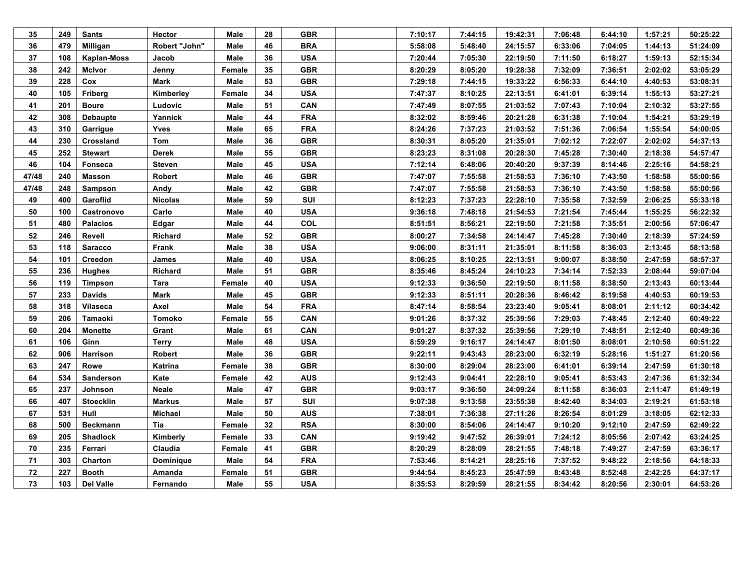| 35    | 249 | <b>Sants</b>     | <b>Hector</b>  | Male   | 28 | <b>GBR</b> | 7:10:17 | 7:44:15 | 19:42:31 | 7:06:48 | 6:44:10 | 1:57:21 | 50:25:22 |
|-------|-----|------------------|----------------|--------|----|------------|---------|---------|----------|---------|---------|---------|----------|
| 36    | 479 | <b>Milligan</b>  | Robert "John"  | Male   | 46 | <b>BRA</b> | 5:58:08 | 5:48:40 | 24:15:57 | 6:33:06 | 7:04:05 | 1:44:13 | 51:24:09 |
| 37    | 108 | Kaplan-Moss      | Jacob          | Male   | 36 | <b>USA</b> | 7:20:44 | 7:05:30 | 22:19:50 | 7:11:50 | 6:18:27 | 1:59:13 | 52:15:34 |
| 38    | 242 | McIvor           | Jenny          | Female | 35 | <b>GBR</b> | 8:20:29 | 8:05:20 | 19:28:38 | 7:32:09 | 7:36:51 | 2:02:02 | 53:05:29 |
| 39    | 228 | Cox              | Mark           | Male   | 53 | <b>GBR</b> | 7:29:18 | 7:44:15 | 19:33:22 | 6:56:33 | 6:44:10 | 4:40:53 | 53:08:31 |
| 40    | 105 | <b>Friberg</b>   | Kimberley      | Female | 34 | <b>USA</b> | 7:47:37 | 8:10:25 | 22:13:51 | 6:41:01 | 6:39:14 | 1:55:13 | 53:27:21 |
| 41    | 201 | <b>Boure</b>     | Ludovic        | Male   | 51 | <b>CAN</b> | 7:47:49 | 8:07:55 | 21:03:52 | 7:07:43 | 7:10:04 | 2:10:32 | 53:27:55 |
| 42    | 308 | Debaupte         | Yannick        | Male   | 44 | <b>FRA</b> | 8:32:02 | 8:59:46 | 20:21:28 | 6:31:38 | 7:10:04 | 1:54:21 | 53:29:19 |
| 43    | 310 | Garrigue         | Yves           | Male   | 65 | <b>FRA</b> | 8:24:26 | 7:37:23 | 21:03:52 | 7:51:36 | 7:06:54 | 1:55:54 | 54:00:05 |
| 44    | 230 | Crossland        | Tom            | Male   | 36 | <b>GBR</b> | 8:30:31 | 8:05:20 | 21:35:01 | 7:02:12 | 7:22:07 | 2:02:02 | 54:37:13 |
| 45    | 252 | Stewart          | <b>Derek</b>   | Male   | 55 | <b>GBR</b> | 8:23:23 | 8:31:08 | 20:28:30 | 7:45:28 | 7:30:40 | 2:18:38 | 54:57:47 |
| 46    | 104 | <b>Fonseca</b>   | <b>Steven</b>  | Male   | 45 | <b>USA</b> | 7:12:14 | 6:48:06 | 20:40:20 | 9:37:39 | 8:14:46 | 2:25:16 | 54:58:21 |
| 47/48 | 240 | Masson           | Robert         | Male   | 46 | <b>GBR</b> | 7:47:07 | 7:55:58 | 21:58:53 | 7:36:10 | 7:43:50 | 1:58:58 | 55:00:56 |
| 47/48 | 248 | Sampson          | Andy           | Male   | 42 | <b>GBR</b> | 7:47:07 | 7:55:58 | 21:58:53 | 7:36:10 | 7:43:50 | 1:58:58 | 55:00:56 |
| 49    | 400 | Garoflid         | <b>Nicolas</b> | Male   | 59 | SUI        | 8:12:23 | 7:37:23 | 22:28:10 | 7:35:58 | 7:32:59 | 2:06:25 | 55:33:18 |
| 50    | 100 | Castronovo       | Carlo          | Male   | 40 | <b>USA</b> | 9:36:18 | 7:48:18 | 21:54:53 | 7:21:54 | 7:45:44 | 1:55:25 | 56:22:32 |
| 51    | 480 | <b>Palacios</b>  | Edgar          | Male   | 44 | COL        | 8:51:51 | 8:56:21 | 22:19:50 | 7:21:58 | 7:35:51 | 2:00:56 | 57:06:47 |
| 52    | 246 | Revell           | Richard        | Male   | 52 | <b>GBR</b> | 8:00:27 | 7:34:58 | 24:14:47 | 7:45:28 | 7:30:40 | 2:18:39 | 57:24:59 |
| 53    | 118 | <b>Saracco</b>   | Frank          | Male   | 38 | <b>USA</b> | 9:06:00 | 8:31:11 | 21:35:01 | 8:11:58 | 8:36:03 | 2:13:45 | 58:13:58 |
| 54    | 101 | Creedon          | James          | Male   | 40 | <b>USA</b> | 8:06:25 | 8:10:25 | 22:13:51 | 9:00:07 | 8:38:50 | 2:47:59 | 58:57:37 |
| 55    | 236 | <b>Hughes</b>    | Richard        | Male   | 51 | <b>GBR</b> | 8:35:46 | 8:45:24 | 24:10:23 | 7:34:14 | 7:52:33 | 2:08:44 | 59:07:04 |
| 56    | 119 | <b>Timpson</b>   | Tara           | Female | 40 | <b>USA</b> | 9:12:33 | 9:36:50 | 22:19:50 | 8:11:58 | 8:38:50 | 2:13:43 | 60:13:44 |
| 57    | 233 | <b>Davids</b>    | Mark           | Male   | 45 | <b>GBR</b> | 9:12:33 | 8:51:11 | 20:28:36 | 8:46:42 | 8:19:58 | 4:40:53 | 60:19:53 |
| 58    | 318 | <b>Vilaseca</b>  | Axel           | Male   | 54 | <b>FRA</b> | 8:47:14 | 8:58:54 | 23:23:40 | 9:05:41 | 8:08:01 | 2:11:12 | 60:34:42 |
| 59    | 206 | Tamaoki          | Tomoko         | Female | 55 | <b>CAN</b> | 9:01:26 | 8:37:32 | 25:39:56 | 7:29:03 | 7:48:45 | 2:12:40 | 60:49:22 |
| 60    | 204 | <b>Monette</b>   | Grant          | Male   | 61 | CAN        | 9:01:27 | 8:37:32 | 25:39:56 | 7:29:10 | 7:48:51 | 2:12:40 | 60:49:36 |
| 61    | 106 | Ginn             | Terry          | Male   | 48 | <b>USA</b> | 8:59:29 | 9:16:17 | 24:14:47 | 8:01:50 | 8:08:01 | 2:10:58 | 60:51:22 |
| 62    | 906 | Harrison         | Robert         | Male   | 36 | <b>GBR</b> | 9:22:11 | 9:43:43 | 28:23:00 | 6:32:19 | 5:28:16 | 1:51:27 | 61:20:56 |
| 63    | 247 | Rowe             | Katrina        | Female | 38 | <b>GBR</b> | 8:30:00 | 8:29:04 | 28:23:00 | 6:41:01 | 6:39:14 | 2:47:59 | 61:30:18 |
| 64    | 534 | <b>Sanderson</b> | Kate           | Female | 42 | <b>AUS</b> | 9:12:43 | 9:04:41 | 22:28:10 | 9:05:41 | 8:53:43 | 2:47:36 | 61:32:34 |
| 65    | 237 | Johnson          | Neale          | Male   | 47 | <b>GBR</b> | 9:03:17 | 9:36:50 | 24:09:24 | 8:11:58 | 8:36:03 | 2:11:47 | 61:49:19 |
| 66    | 407 | <b>Stoecklin</b> | <b>Markus</b>  | Male   | 57 | <b>SUI</b> | 9:07:38 | 9:13:58 | 23:55:38 | 8:42:40 | 8:34:03 | 2:19:21 | 61:53:18 |
| 67    | 531 | Hull             | <b>Michael</b> | Male   | 50 | <b>AUS</b> | 7:38:01 | 7:36:38 | 27:11:26 | 8:26:54 | 8:01:29 | 3:18:05 | 62:12:33 |
| 68    | 500 | Beckmann         | Tia            | Female | 32 | <b>RSA</b> | 8:30:00 | 8:54:06 | 24:14:47 | 9:10:20 | 9:12:10 | 2:47:59 | 62:49:22 |
| 69    | 205 | <b>Shadlock</b>  | Kimberly       | Female | 33 | <b>CAN</b> | 9:19:42 | 9:47:52 | 26:39:01 | 7:24:12 | 8:05:56 | 2:07:42 | 63:24:25 |
| 70    | 235 | Ferrari          | Claudia        | Female | 41 | <b>GBR</b> | 8:20:29 | 8:28:09 | 28:21:55 | 7:48:18 | 7:49:27 | 2:47:59 | 63:36:17 |
| 71    | 303 | Charton          | Dominique      | Male   | 54 | <b>FRA</b> | 7:53:46 | 8:14:21 | 28:25:16 | 7:37:52 | 9:48:22 | 2:18:56 | 64:18:33 |
| 72    | 227 | <b>Booth</b>     | Amanda         | Female | 51 | <b>GBR</b> | 9:44:54 | 8:45:23 | 25:47:59 | 8:43:48 | 8:52:48 | 2:42:25 | 64:37:17 |
| 73    | 103 | <b>Del Valle</b> | Fernando       | Male   | 55 | <b>USA</b> | 8:35:53 | 8:29:59 | 28:21:55 | 8:34:42 | 8:20:56 | 2:30:01 | 64:53:26 |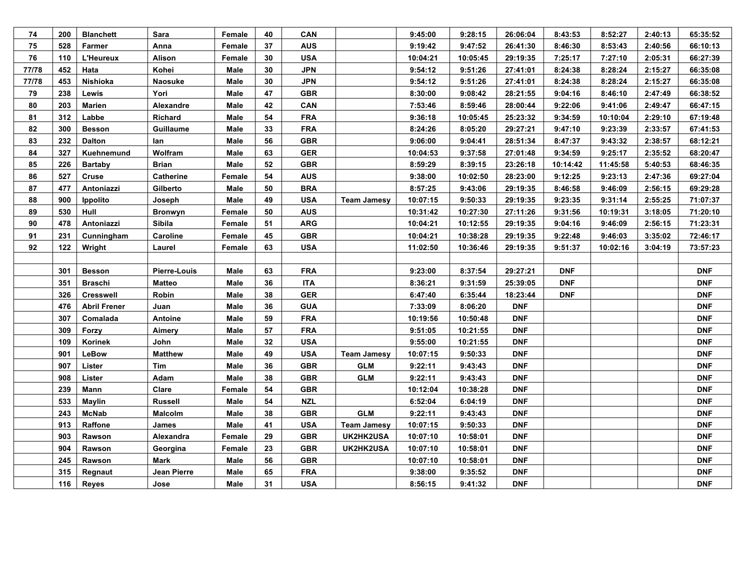| 74    | 200 | <b>Blanchett</b>    | Sara                | Female | 40 | <b>CAN</b> |                    | 9:45:00  | 9:28:15  | 26:06:04   | 8:43:53    | 8:52:27  | 2:40:13 | 65:35:52   |
|-------|-----|---------------------|---------------------|--------|----|------------|--------------------|----------|----------|------------|------------|----------|---------|------------|
| 75    | 528 | Farmer              | Anna                | Female | 37 | <b>AUS</b> |                    | 9:19:42  | 9:47:52  | 26:41:30   | 8:46:30    | 8:53:43  | 2:40:56 | 66:10:13   |
| 76    | 110 | L'Heureux           | Alison              | Female | 30 | <b>USA</b> |                    | 10:04:21 | 10:05:45 | 29:19:35   | 7:25:17    | 7:27:10  | 2:05:31 | 66:27:39   |
| 77/78 | 452 | Hata                | Kohei               | Male   | 30 | <b>JPN</b> |                    | 9:54:12  | 9:51:26  | 27:41:01   | 8:24:38    | 8:28:24  | 2:15:27 | 66:35:08   |
| 77/78 | 453 | Nishioka            | <b>Naosuke</b>      | Male   | 30 | <b>JPN</b> |                    | 9:54:12  | 9:51:26  | 27:41:01   | 8:24:38    | 8:28:24  | 2:15:27 | 66:35:08   |
| 79    | 238 | Lewis               | Yori                | Male   | 47 | <b>GBR</b> |                    | 8:30:00  | 9:08:42  | 28:21:55   | 9:04:16    | 8:46:10  | 2:47:49 | 66:38:52   |
| 80    | 203 | Marien              | Alexandre           | Male   | 42 | <b>CAN</b> |                    | 7:53:46  | 8:59:46  | 28:00:44   | 9:22:06    | 9:41:06  | 2:49:47 | 66:47:15   |
| 81    | 312 | Labbe               | Richard             | Male   | 54 | <b>FRA</b> |                    | 9:36:18  | 10:05:45 | 25:23:32   | 9:34:59    | 10:10:04 | 2:29:10 | 67:19:48   |
| 82    | 300 | <b>Besson</b>       | Guillaume           | Male   | 33 | <b>FRA</b> |                    | 8:24:26  | 8:05:20  | 29:27:21   | 9:47:10    | 9:23:39  | 2:33:57 | 67:41:53   |
| 83    | 232 | <b>Dalton</b>       | lan                 | Male   | 56 | <b>GBR</b> |                    | 9:06:00  | 9:04:41  | 28:51:34   | 8:47:37    | 9:43:32  | 2:38:57 | 68:12:21   |
| 84    | 327 | Kuehnemund          | Wolfram             | Male   | 63 | <b>GER</b> |                    | 10:04:53 | 9:37:58  | 27:01:48   | 9:34:59    | 9:25:17  | 2:35:52 | 68:20:47   |
| 85    | 226 | <b>Bartaby</b>      | <b>Brian</b>        | Male   | 52 | <b>GBR</b> |                    | 8:59:29  | 8:39:15  | 23:26:18   | 10:14:42   | 11:45:58 | 5:40:53 | 68:46:35   |
| 86    | 527 | Cruse               | <b>Catherine</b>    | Female | 54 | <b>AUS</b> |                    | 9:38:00  | 10:02:50 | 28:23:00   | 9:12:25    | 9:23:13  | 2:47:36 | 69:27:04   |
| 87    | 477 | Antoniazzi          | Gilberto            | Male   | 50 | <b>BRA</b> |                    | 8:57:25  | 9:43:06  | 29:19:35   | 8:46:58    | 9:46:09  | 2:56:15 | 69:29:28   |
| 88    | 900 | <b>Ippolito</b>     | Joseph              | Male   | 49 | <b>USA</b> | <b>Team Jamesy</b> | 10:07:15 | 9:50:33  | 29:19:35   | 9:23:35    | 9:31:14  | 2:55:25 | 71:07:37   |
| 89    | 530 | Hull                | <b>Bronwyn</b>      | Female | 50 | <b>AUS</b> |                    | 10:31:42 | 10:27:30 | 27:11:26   | 9:31:56    | 10:19:31 | 3:18:05 | 71:20:10   |
| 90    | 478 | Antoniazzi          | Sibila              | Female | 51 | <b>ARG</b> |                    | 10:04:21 | 10:12:55 | 29:19:35   | 9:04:16    | 9:46:09  | 2:56:15 | 71:23:31   |
| 91    | 231 | Cunningham          | Caroline            | Female | 45 | <b>GBR</b> |                    | 10:04:21 | 10:38:28 | 29:19:35   | 9:22:48    | 9:46:03  | 3:35:02 | 72:46:17   |
| 92    | 122 | Wright              | Laurel              | Female | 63 | <b>USA</b> |                    | 11:02:50 | 10:36:46 | 29:19:35   | 9:51:37    | 10:02:16 | 3:04:19 | 73:57:23   |
|       |     |                     |                     |        |    |            |                    |          |          |            |            |          |         |            |
|       | 301 | <b>Besson</b>       | <b>Pierre-Louis</b> | Male   | 63 | <b>FRA</b> |                    | 9:23:00  | 8:37:54  | 29:27:21   | <b>DNF</b> |          |         | <b>DNF</b> |
|       | 351 | <b>Braschi</b>      | <b>Matteo</b>       | Male   | 36 | <b>ITA</b> |                    | 8:36:21  | 9:31:59  | 25:39:05   | <b>DNF</b> |          |         | <b>DNF</b> |
|       | 326 | <b>Cresswell</b>    | Robin               | Male   | 38 | <b>GER</b> |                    | 6:47:40  | 6:35:44  | 18:23:44   | <b>DNF</b> |          |         | <b>DNF</b> |
|       | 476 | <b>Abril Frener</b> | Juan                | Male   | 36 | <b>GUA</b> |                    | 7:33:09  | 8:06:20  | <b>DNF</b> |            |          |         | <b>DNF</b> |
|       | 307 | Comalada            | Antoine             | Male   | 59 | <b>FRA</b> |                    | 10:19:56 | 10:50:48 | <b>DNF</b> |            |          |         | <b>DNF</b> |
|       | 309 | Forzy               | Aimery              | Male   | 57 | <b>FRA</b> |                    | 9:51:05  | 10:21:55 | <b>DNF</b> |            |          |         | <b>DNF</b> |
|       | 109 | Korinek             | John                | Male   | 32 | <b>USA</b> |                    | 9:55:00  | 10:21:55 | <b>DNF</b> |            |          |         | <b>DNF</b> |
|       | 901 | LeBow               | Matthew             | Male   | 49 | <b>USA</b> | <b>Team Jamesy</b> | 10:07:15 | 9:50:33  | <b>DNF</b> |            |          |         | <b>DNF</b> |
|       | 907 | Lister              | Tim                 | Male   | 36 | <b>GBR</b> | <b>GLM</b>         | 9:22:11  | 9:43:43  | <b>DNF</b> |            |          |         | <b>DNF</b> |
|       | 908 | Lister              | Adam                | Male   | 38 | <b>GBR</b> | <b>GLM</b>         | 9:22:11  | 9:43:43  | <b>DNF</b> |            |          |         | <b>DNF</b> |
|       | 239 | Mann                | Clare               | Female | 54 | <b>GBR</b> |                    | 10:12:04 | 10:38:28 | <b>DNF</b> |            |          |         | <b>DNF</b> |
|       | 533 | <b>Maylin</b>       | <b>Russell</b>      | Male   | 54 | <b>NZL</b> |                    | 6:52:04  | 6:04:19  | <b>DNF</b> |            |          |         | <b>DNF</b> |
|       | 243 | <b>McNab</b>        | Malcolm             | Male   | 38 | <b>GBR</b> | <b>GLM</b>         | 9:22:11  | 9:43:43  | <b>DNF</b> |            |          |         | <b>DNF</b> |
|       | 913 | Raffone             | James               | Male   | 41 | <b>USA</b> | <b>Team Jamesy</b> | 10:07:15 | 9:50:33  | <b>DNF</b> |            |          |         | <b>DNF</b> |
|       | 903 | Rawson              | Alexandra           | Female | 29 | <b>GBR</b> | UK2HK2USA          | 10:07:10 | 10:58:01 | <b>DNF</b> |            |          |         | <b>DNF</b> |
|       | 904 | Rawson              | Georgina            | Female | 23 | <b>GBR</b> | UK2HK2USA          | 10:07:10 | 10:58:01 | <b>DNF</b> |            |          |         | <b>DNF</b> |
|       | 245 | Rawson              | <b>Mark</b>         | Male   | 56 | <b>GBR</b> |                    | 10:07:10 | 10:58:01 | <b>DNF</b> |            |          |         | <b>DNF</b> |
|       |     |                     |                     |        |    |            |                    |          |          |            |            |          |         |            |
|       | 315 | Regnaut             | Jean Pierre         | Male   | 65 | <b>FRA</b> |                    | 9:38:00  | 9:35:52  | <b>DNF</b> |            |          |         | <b>DNF</b> |